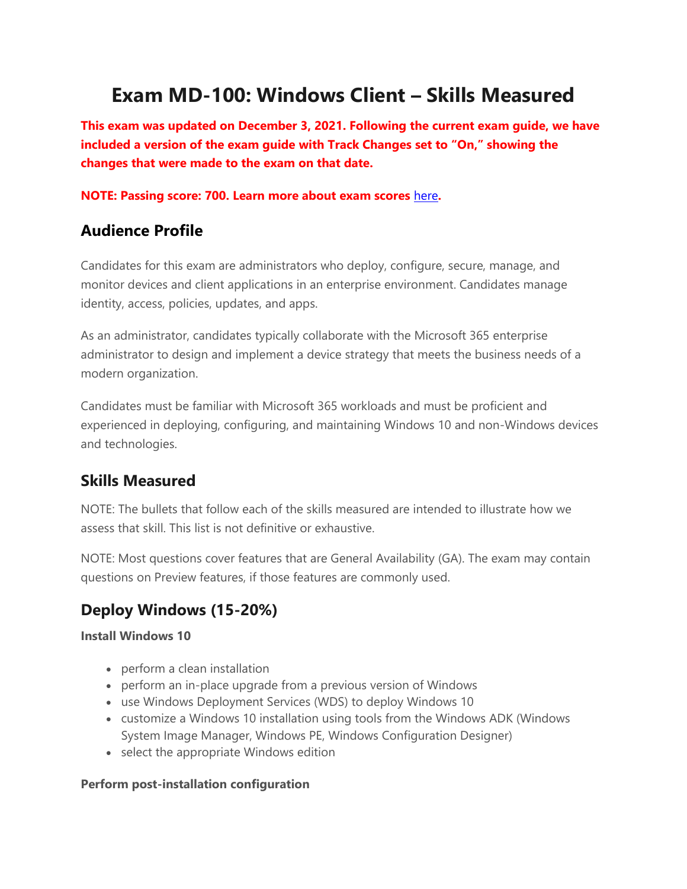# **Exam MD-100: Windows Client – Skills Measured**

**This exam was updated on December 3, 2021. Following the current exam guide, we have included a version of the exam guide with Track Changes set to "On," showing the changes that were made to the exam on that date.**

### **NOTE: Passing score: 700. Learn more about exam scores** [here](https://docs.microsoft.com/en-us/learn/certifications/exam-scoring-reports#scores-needed-to-pass-exams)**.**

## **Audience Profile**

Candidates for this exam are administrators who deploy, configure, secure, manage, and monitor devices and client applications in an enterprise environment. Candidates manage identity, access, policies, updates, and apps.

As an administrator, candidates typically collaborate with the Microsoft 365 enterprise administrator to design and implement a device strategy that meets the business needs of a modern organization.

Candidates must be familiar with Microsoft 365 workloads and must be proficient and experienced in deploying, configuring, and maintaining Windows 10 and non-Windows devices and technologies.

## **Skills Measured**

NOTE: The bullets that follow each of the skills measured are intended to illustrate how we assess that skill. This list is not definitive or exhaustive.

NOTE: Most questions cover features that are General Availability (GA). The exam may contain questions on Preview features, if those features are commonly used.

# **Deploy Windows (15-20%)**

### **Install Windows 10**

- perform a clean installation
- perform an in-place upgrade from a previous version of Windows
- use Windows Deployment Services (WDS) to deploy Windows 10
- customize a Windows 10 installation using tools from the Windows ADK (Windows System Image Manager, Windows PE, Windows Configuration Designer)
- select the appropriate Windows edition

### **Perform post-installation configuration**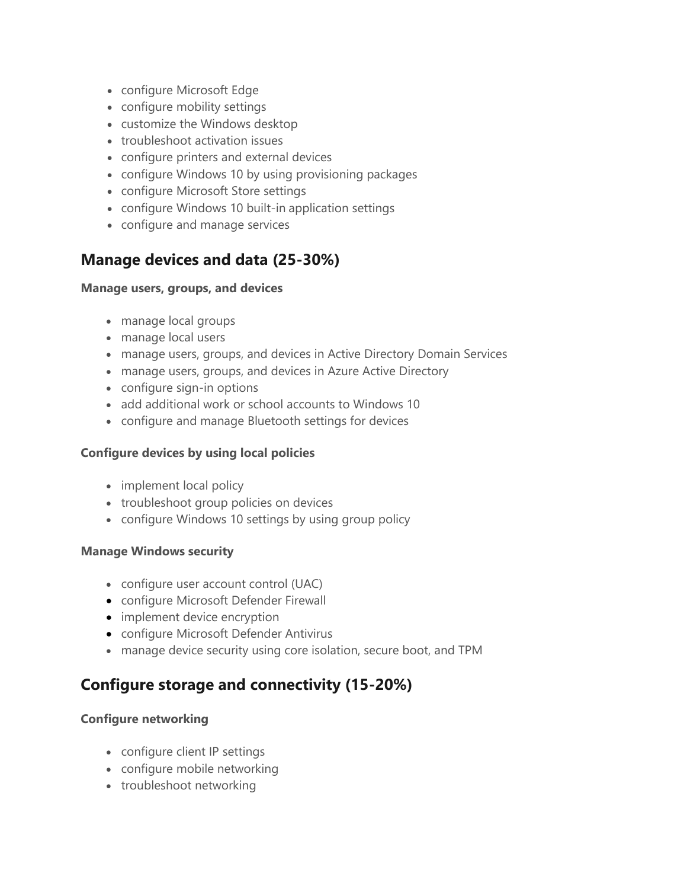- configure Microsoft Edge
- configure mobility settings
- customize the Windows desktop
- troubleshoot activation issues
- configure printers and external devices
- configure Windows 10 by using provisioning packages
- configure Microsoft Store settings
- configure Windows 10 built-in application settings
- configure and manage services

# **Manage devices and data (25-30%)**

### **Manage users, groups, and devices**

- manage local groups
- manage local users
- manage users, groups, and devices in Active Directory Domain Services
- manage users, groups, and devices in Azure Active Directory
- configure sign-in options
- add additional work or school accounts to Windows 10
- configure and manage Bluetooth settings for devices

### **Configure devices by using local policies**

- implement local policy
- troubleshoot group policies on devices
- configure Windows 10 settings by using group policy

### **Manage Windows security**

- configure user account control (UAC)
- configure Microsoft Defender Firewall
- implement device encryption
- configure Microsoft Defender Antivirus
- manage device security using core isolation, secure boot, and TPM

# **Configure storage and connectivity (15-20%)**

### **Configure networking**

- configure client IP settings
- configure mobile networking
- troubleshoot networking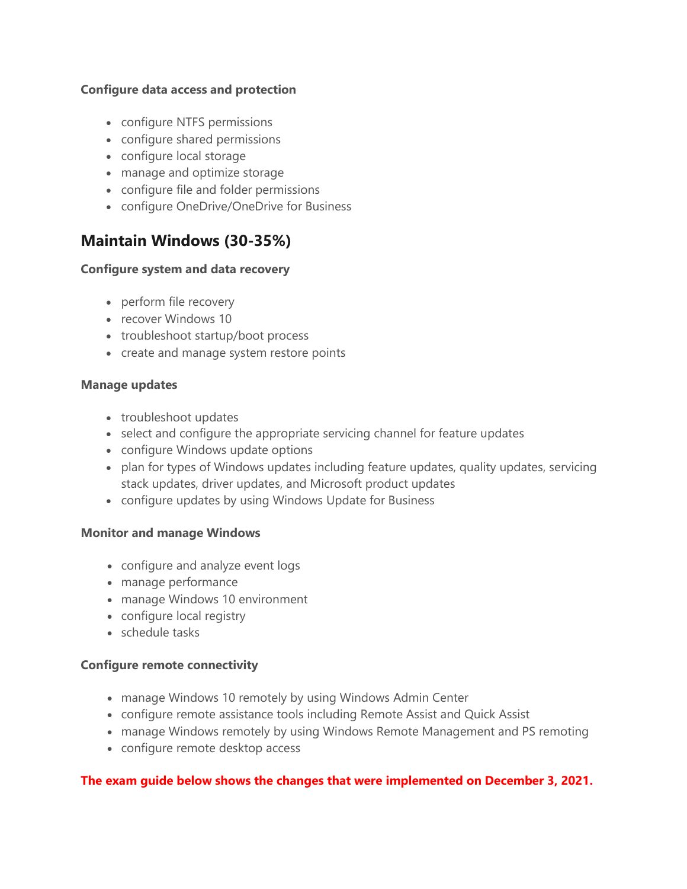### **Configure data access and protection**

- configure NTFS permissions
- configure shared permissions
- configure local storage
- manage and optimize storage
- configure file and folder permissions
- configure OneDrive/OneDrive for Business

# **Maintain Windows (30-35%)**

### **Configure system and data recovery**

- perform file recovery
- recover Windows 10
- troubleshoot startup/boot process
- create and manage system restore points

### **Manage updates**

- troubleshoot updates
- select and configure the appropriate servicing channel for feature updates
- configure Windows update options
- plan for types of Windows updates including feature updates, quality updates, servicing stack updates, driver updates, and Microsoft product updates
- configure updates by using Windows Update for Business

### **Monitor and manage Windows**

- configure and analyze event logs
- manage performance
- manage Windows 10 environment
- configure local registry
- schedule tasks

### **Configure remote connectivity**

- manage Windows 10 remotely by using Windows Admin Center
- configure remote assistance tools including Remote Assist and Quick Assist
- manage Windows remotely by using Windows Remote Management and PS remoting
- configure remote desktop access

### **The exam guide below shows the changes that were implemented on December 3, 2021.**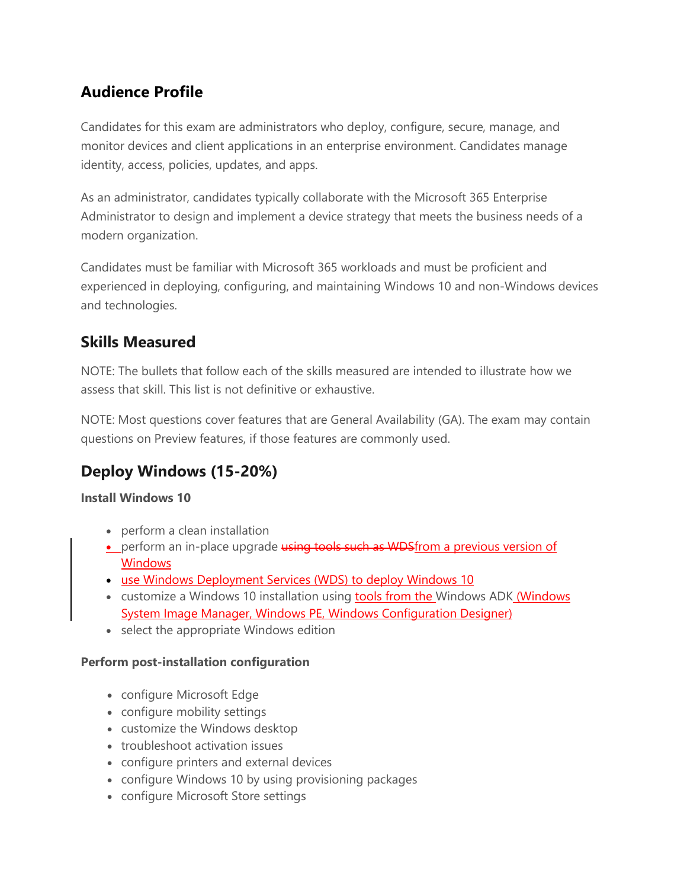# **Audience Profile**

Candidates for this exam are administrators who deploy, configure, secure, manage, and monitor devices and client applications in an enterprise environment. Candidates manage identity, access, policies, updates, and apps.

As an administrator, candidates typically collaborate with the Microsoft 365 Enterprise Administrator to design and implement a device strategy that meets the business needs of a modern organization.

Candidates must be familiar with Microsoft 365 workloads and must be proficient and experienced in deploying, configuring, and maintaining Windows 10 and non-Windows devices and technologies.

# **Skills Measured**

NOTE: The bullets that follow each of the skills measured are intended to illustrate how we assess that skill. This list is not definitive or exhaustive.

NOTE: Most questions cover features that are General Availability (GA). The exam may contain questions on Preview features, if those features are commonly used.

# **Deploy Windows (15-20%)**

### **Install Windows 10**

- perform a clean installation
- **•** perform an in-place upgrade using tools such as WDSfrom a previous version of **Windows**
- use Windows Deployment Services (WDS) to deploy Windows 10
- customize a Windows 10 installation using tools from the Windows ADK (Windows System Image Manager, Windows PE, Windows Configuration Designer)
- select the appropriate Windows edition

### **Perform post-installation configuration**

- configure Microsoft Edge
- configure mobility settings
- customize the Windows desktop
- troubleshoot activation issues
- configure printers and external devices
- configure Windows 10 by using provisioning packages
- configure Microsoft Store settings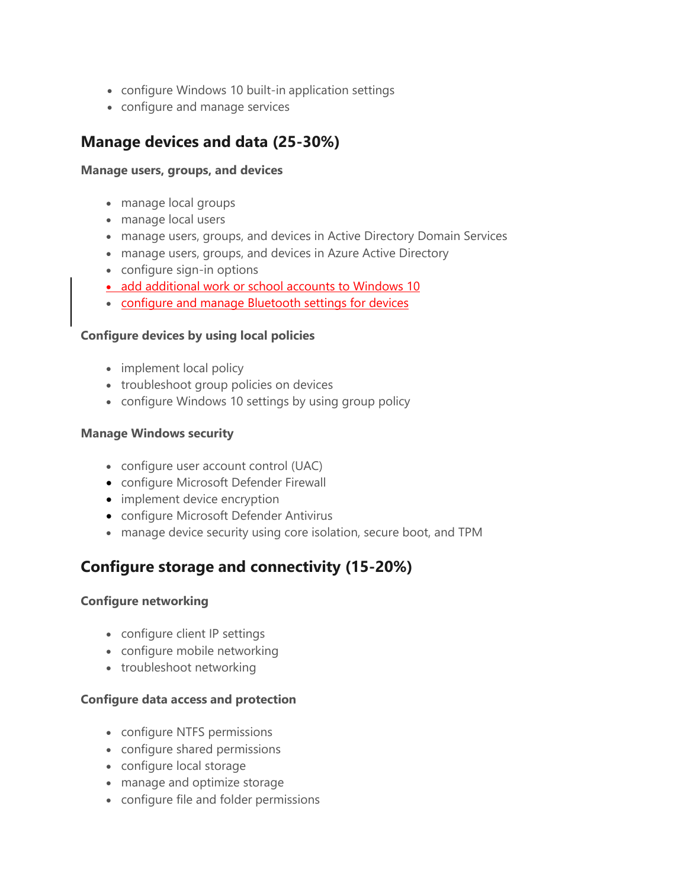- configure Windows 10 built-in application settings
- configure and manage services

### **Manage devices and data (25-30%)**

#### **Manage users, groups, and devices**

- manage local groups
- manage local users
- manage users, groups, and devices in Active Directory Domain Services
- manage users, groups, and devices in Azure Active Directory
- configure sign-in options
- add additional work or school accounts to Windows 10
- **configure and manage Bluetooth settings for devices**

### **Configure devices by using local policies**

- implement local policy
- troubleshoot group policies on devices
- configure Windows 10 settings by using group policy

### **Manage Windows security**

- configure user account control (UAC)
- configure Microsoft Defender Firewall
- implement device encryption
- configure Microsoft Defender Antivirus
- manage device security using core isolation, secure boot, and TPM

# **Configure storage and connectivity (15-20%)**

### **Configure networking**

- configure client IP settings
- configure mobile networking
- troubleshoot networking

### **Configure data access and protection**

- configure NTFS permissions
- configure shared permissions
- configure local storage
- manage and optimize storage
- configure file and folder permissions